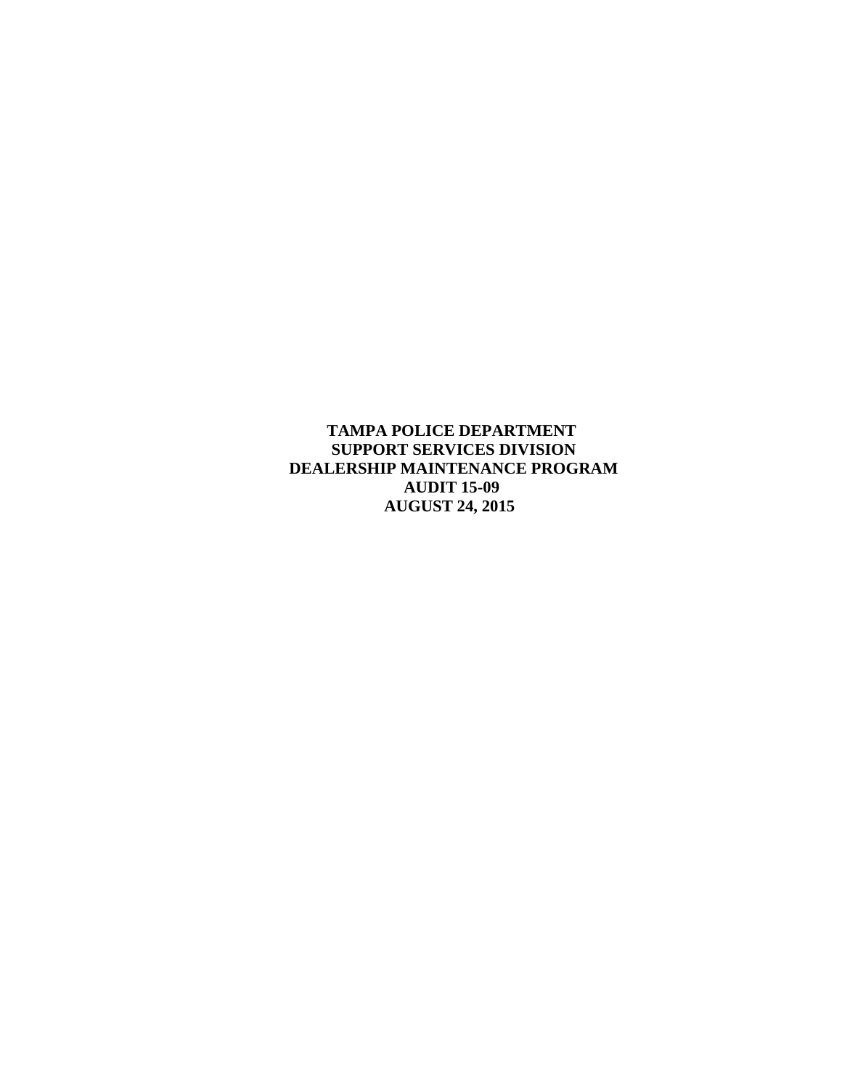**TAMPA POLICE DEPARTMENT SUPPORT SERVICES DIVISION DEALERSHIP MAINTENANCE PROGRAM AUDIT 15-09 AUGUST 24, 2015**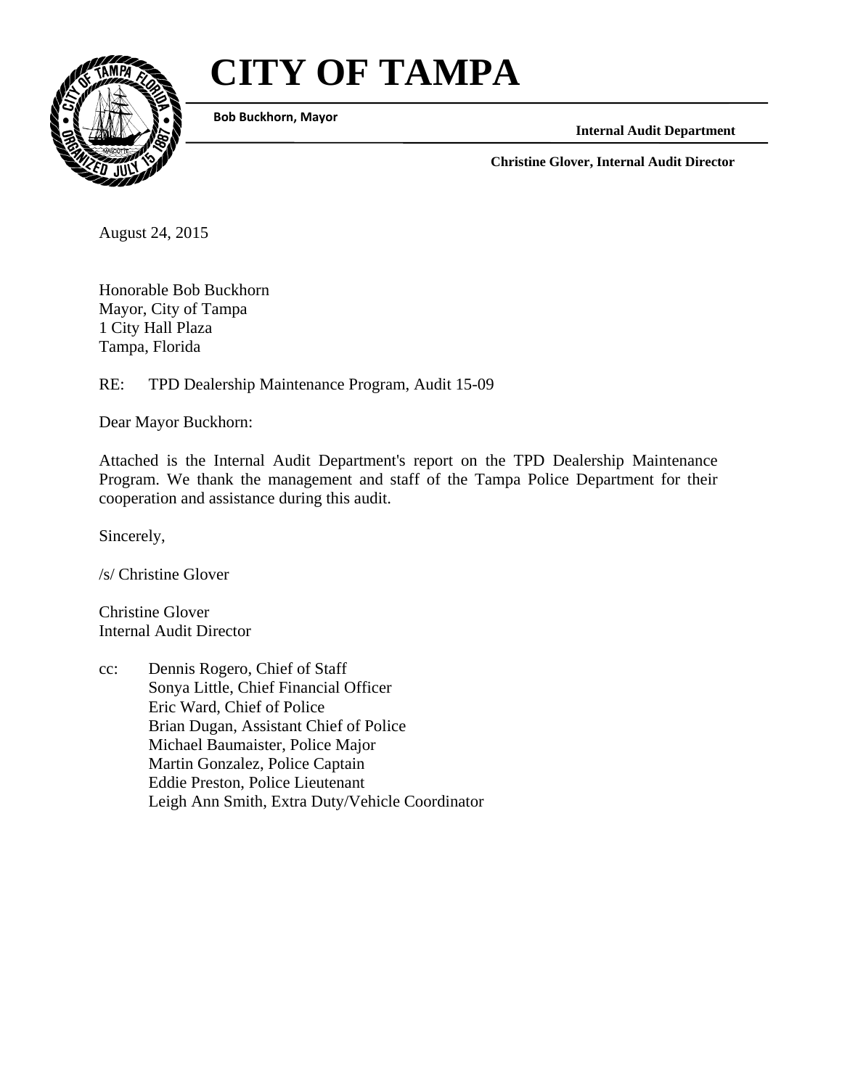# **CITY OF TAMPA**



 **Bob Buckhorn, Mayor**

**Internal Audit Department** 

**Christine Glover, Internal Audit Director** 

August 24, 2015

Honorable Bob Buckhorn Mayor, City of Tampa 1 City Hall Plaza Tampa, Florida

RE: TPD Dealership Maintenance Program, Audit 15-09

Dear Mayor Buckhorn:

Attached is the Internal Audit Department's report on the TPD Dealership Maintenance Program. We thank the management and staff of the Tampa Police Department for their cooperation and assistance during this audit.

Sincerely,

/s/ Christine Glover

Christine Glover Internal Audit Director

cc: Dennis Rogero, Chief of Staff Sonya Little, Chief Financial Officer Eric Ward, Chief of Police Brian Dugan, Assistant Chief of Police Michael Baumaister, Police Major Martin Gonzalez, Police Captain Eddie Preston, Police Lieutenant Leigh Ann Smith, Extra Duty/Vehicle Coordinator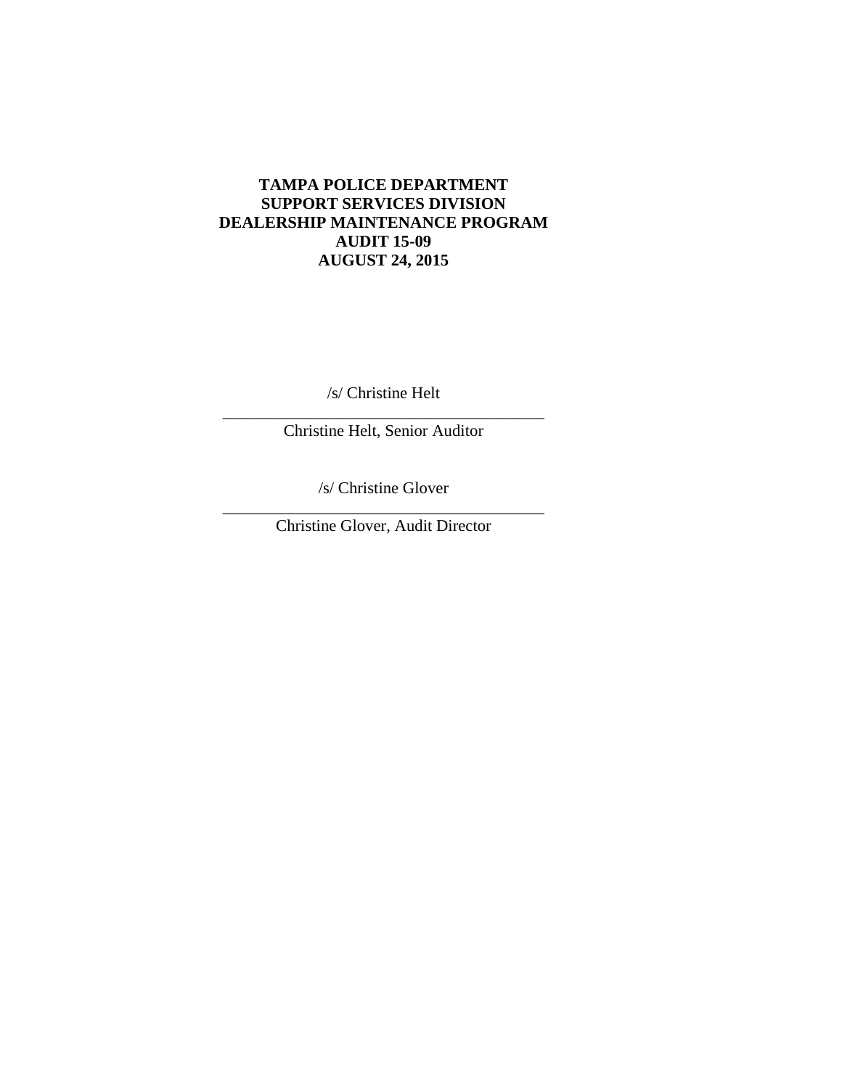## **TAMPA POLICE DEPARTMENT SUPPORT SERVICES DIVISION DEALERSHIP MAINTENANCE PROGRAM AUDIT 15-09 AUGUST 24, 2015**

\_\_\_\_\_\_\_\_\_\_\_\_\_\_\_\_\_\_\_\_\_\_\_\_\_\_\_\_\_\_\_\_\_\_\_\_\_\_\_ /s/ Christine Helt

Christine Helt, Senior Auditor

/s/ Christine Glover

\_\_\_\_\_\_\_\_\_\_\_\_\_\_\_\_\_\_\_\_\_\_\_\_\_\_\_\_\_\_\_\_\_\_\_\_\_\_\_ Christine Glover, Audit Director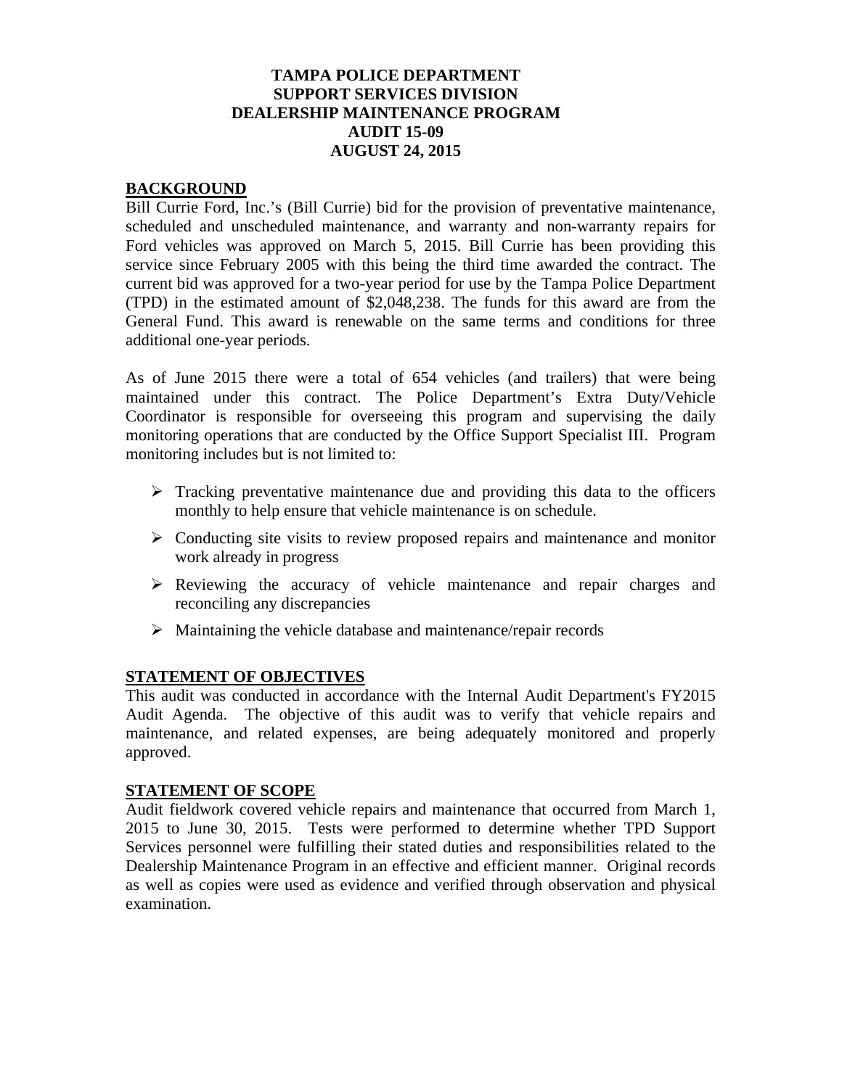## **TAMPA POLICE DEPARTMENT SUPPORT SERVICES DIVISION DEALERSHIP MAINTENANCE PROGRAM AUDIT 15-09 AUGUST 24, 2015**

### **BACKGROUND**

Bill Currie Ford, Inc.'s (Bill Currie) bid for the provision of preventative maintenance, scheduled and unscheduled maintenance, and warranty and non-warranty repairs for Ford vehicles was approved on March 5, 2015. Bill Currie has been providing this service since February 2005 with this being the third time awarded the contract. The current bid was approved for a two-year period for use by the Tampa Police Department (TPD) in the estimated amount of \$2,048,238. The funds for this award are from the General Fund. This award is renewable on the same terms and conditions for three additional one-year periods.

As of June 2015 there were a total of 654 vehicles (and trailers) that were being maintained under this contract. The Police Department's Extra Duty/Vehicle Coordinator is responsible for overseeing this program and supervising the daily monitoring operations that are conducted by the Office Support Specialist III. Program monitoring includes but is not limited to:

- $\triangleright$  Tracking preventative maintenance due and providing this data to the officers monthly to help ensure that vehicle maintenance is on schedule.
- $\triangleright$  Conducting site visits to review proposed repairs and maintenance and monitor work already in progress
- $\triangleright$  Reviewing the accuracy of vehicle maintenance and repair charges and reconciling any discrepancies
- $\triangleright$  Maintaining the vehicle database and maintenance/repair records

### **STATEMENT OF OBJECTIVES**

This audit was conducted in accordance with the Internal Audit Department's FY2015 Audit Agenda. The objective of this audit was to verify that vehicle repairs and maintenance, and related expenses, are being adequately monitored and properly approved.

#### **STATEMENT OF SCOPE**

Audit fieldwork covered vehicle repairs and maintenance that occurred from March 1, 2015 to June 30, 2015. Tests were performed to determine whether TPD Support Services personnel were fulfilling their stated duties and responsibilities related to the Dealership Maintenance Program in an effective and efficient manner. Original records as well as copies were used as evidence and verified through observation and physical examination.